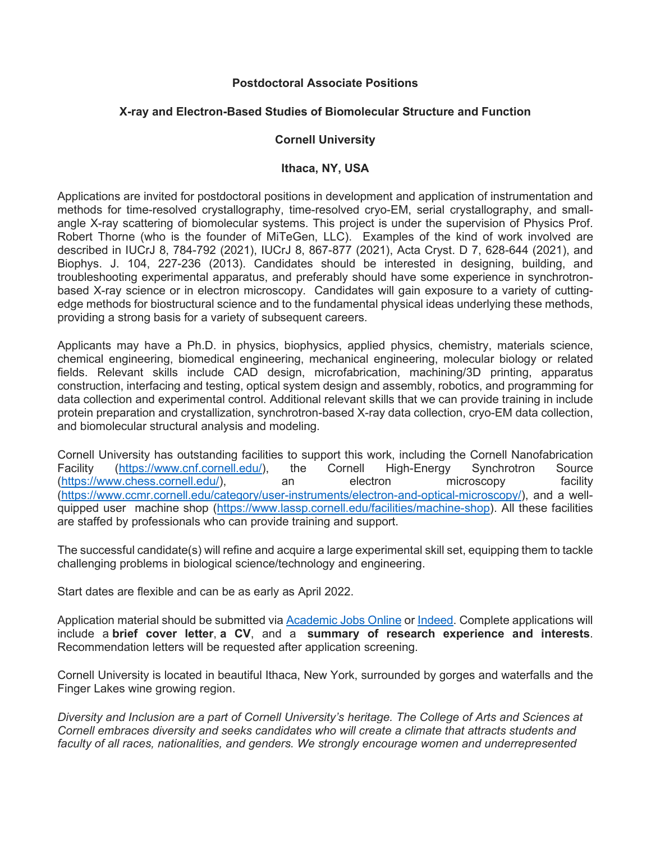## **Postdoctoral Associate Positions**

## **X-ray and Electron-Based Studies of Biomolecular Structure and Function**

## **Cornell University**

## **Ithaca, NY, USA**

Applications are invited for postdoctoral positions in development and application of instrumentation and methods for time-resolved crystallography, time-resolved cryo-EM, serial crystallography, and smallangle X-ray scattering of biomolecular systems. This project is under the supervision of Physics Prof. Robert Thorne (who is the founder of MiTeGen, LLC). Examples of the kind of work involved are described in IUCrJ 8, 784-792 (2021), IUCrJ 8, 867-877 (2021), Acta Cryst. D 7, 628-644 (2021), and Biophys. J. 104, 227-236 (2013). Candidates should be interested in designing, building, and troubleshooting experimental apparatus, and preferably should have some experience in synchrotronbased X-ray science or in electron microscopy. Candidates will gain exposure to a variety of cuttingedge methods for biostructural science and to the fundamental physical ideas underlying these methods, providing a strong basis for a variety of subsequent careers.

Applicants may have a Ph.D. in physics, biophysics, applied physics, chemistry, materials science, chemical engineering, biomedical engineering, mechanical engineering, molecular biology or related fields. Relevant skills include CAD design, microfabrication, machining/3D printing, apparatus construction, interfacing and testing, optical system design and assembly, robotics, and programming for data collection and experimental control. Additional relevant skills that we can provide training in include protein preparation and crystallization, synchrotron-based X-ray data collection, cryo-EM data collection, and biomolecular structural analysis and modeling.

Cornell University has outstanding facilities to support this work, including the Cornell Nanofabrication Facility [\(https://www.cnf.cornell.edu/\)](https://www.cnf.cornell.edu/), the Cornell High-Energy Synchrotron Source [\(https://www.chess.cornell.edu/\)](https://www.chess.cornell.edu/), an electron microscopy facility [\(https://www.ccmr.cornell.edu/category/user-instruments/electron-and-optical-microscopy/\)](https://www.ccmr.cornell.edu/category/user-instruments/electron-and-optical-microscopy/), and a wellquipped user machine shop [\(https://www.lassp.cornell.edu/facilities/machine-shop\)](https://www.lassp.cornell.edu/facilities/machine-shop). All these facilities are staffed by professionals who can provide training and support.

The successful candidate(s) will refine and acquire a large experimental skill set, equipping them to tackle challenging problems in biological science/technology and engineering.

Start dates are flexible and can be as early as April 2022.

Application material should be submitted via [Academic Jobs Online](https://academicjobsonline.org/ajo/jobs/20849/apply) or [Indeed.](https://www.indeed.com/jobs?q=lassp&l=Ithaca%2C%20NY&vjk=7a723aa08027eae8) Complete applications will include a **brief cover letter**, **a CV**, and a **summary of research experience and interests**. Recommendation letters will be requested after application screening.

Cornell University is located in beautiful Ithaca, New York, surrounded by gorges and waterfalls and the Finger Lakes wine growing region.

*Diversity and Inclusion are a part of Cornell University's heritage. The College of Arts and Sciences at Cornell embraces diversity and seeks candidates who will create a climate that attracts students and faculty of all races, nationalities, and genders. We strongly encourage women and underrepresented*